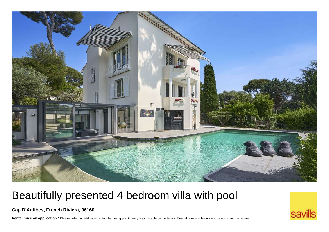

# Beautifully presented 4 bedroom villa with pool

# **Cap D'Antibes, French Riviera, 06160**

**Rental price on application**.\* Please note that additional rental charges apply. Agency fees payable by the tenant. Fee table available online at savills.fr and on request.

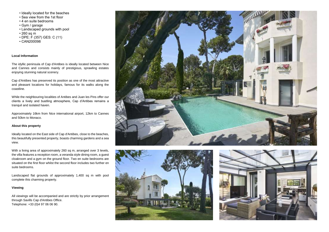- Ideally located for the beaches
- Sea view from the 1st floor
- 4 en suite bedrooms
- Gym / garage
- Landscaped grounds with pool
- $\cdot$  260 sq m
- DPE: F (357) GES: C (11)
- CAN200098

#### **Local Information**

The idyllic peninsula of Cap d'Antibes is ideally located between Nice and Cannes and consists mainly of prestigious, sprawling estates enjoying stunning natural scenery.

Cap d'Antibes has preserved its position as one of the most attractive and pleasant locations for holidays, famous for its walks along the coastline.

While the neighbouring localities of Antibes and Juan les Pins offer our clients a lively and bustling atmosphere, Cap d'Antibes remains a tranquil and isolated haven.

Approximately 16km from Nice international airport, 12km to Cannes and 50km to Monaco.

## **About this property**

Ideally located on the East side of Cap d'Antibes, close to the beaches, this beautifully presented property, boasts charming gardens and a sea view.

With a living area of approximately 260 sq m, arranged over 3 levels. the villa features a reception room, a veranda style dining room, a guest cloakroom and a gym on the ground floor. Two en suite bedrooms are situated on the first floor whilst the second floor includes two further en suite bedrooms.

Landscaped flat grounds of approximately 1,400 sq m with pool complete this charming property.

## **Viewing**

All viewings will be accompanied and are strictly by prior arrangement through Savills Cap d'Antibes Office. Telephone: +33 (0)4 97 06 06 90.





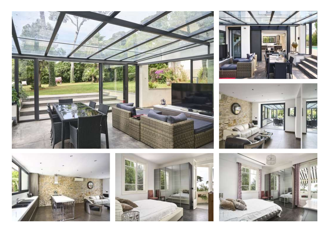